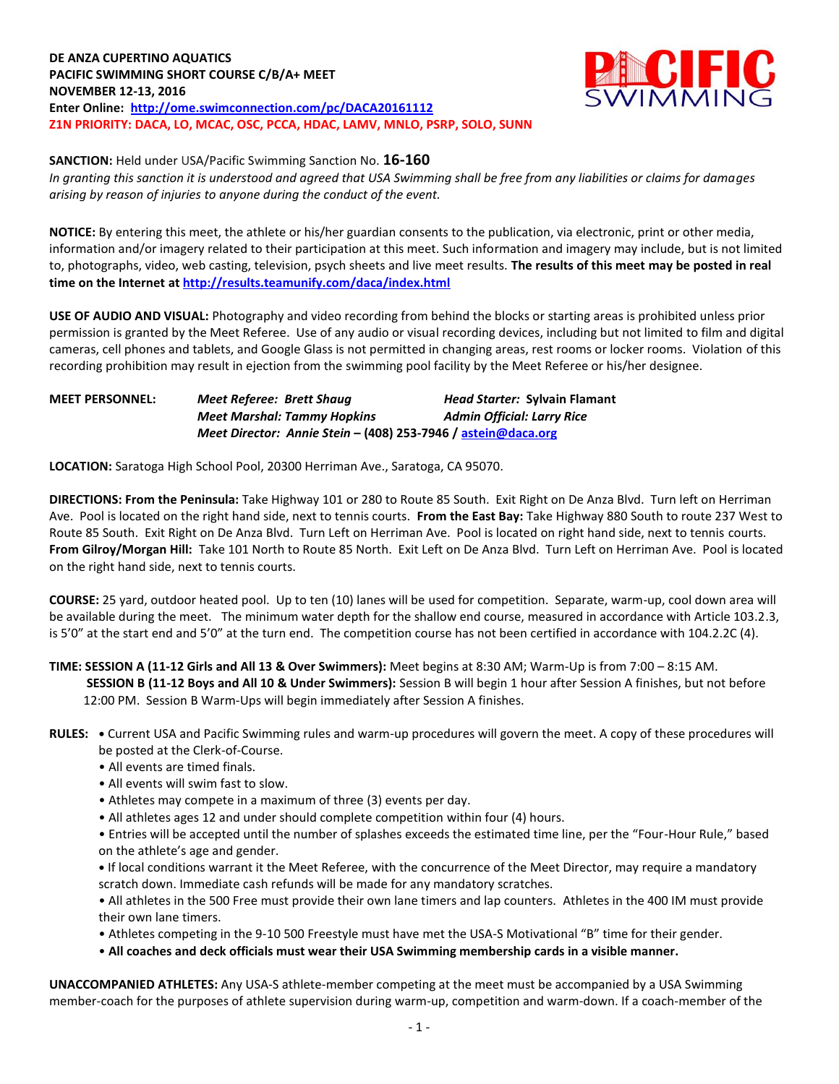**DE ANZA CUPERTINO AQUATICS PACIFIC SWIMMING SHORT COURSE C/B/A+ MEET NOVEMBER 12-13, 2016 Enter Online: <http://ome.swimconnection.com/pc/DACA20161112> Z1N PRIORITY: DACA, LO, MCAC, OSC, PCCA, HDAC, LAMV, MNLO, PSRP, SOLO, SUNN**



**SANCTION:** Held under USA/Pacific Swimming Sanction No. **16-160**

*In granting this sanction it is understood and agreed that USA Swimming shall be free from any liabilities or claims for damages arising by reason of injuries to anyone during the conduct of the event.*

**NOTICE:** By entering this meet, the athlete or his/her guardian consents to the publication, via electronic, print or other media, information and/or imagery related to their participation at this meet. Such information and imagery may include, but is not limited to, photographs, video, web casting, television, psych sheets and live meet results. **The results of this meet may be posted in real time on the Internet a[t http://results.teamunify.com/daca/index.html](http://results.teamunify.com/daca/index.html)**

**USE OF AUDIO AND VISUAL:** Photography and video recording from behind the blocks or starting areas is prohibited unless prior permission is granted by the Meet Referee. Use of any audio or visual recording devices, including but not limited to film and digital cameras, cell phones and tablets, and Google Glass is not permitted in changing areas, rest rooms or locker rooms. Violation of this recording prohibition may result in ejection from the swimming pool facility by the Meet Referee or his/her designee.

**MEET PERSONNEL:** *Meet Referee: Brett Shaug Head Starter:* **Sylvain Flamant** *Meet Marshal: Tammy Hopkins Admin Official: Larry Rice Meet Director: Annie Stein* **– (408) 253-7946 / [astein@daca.org](mailto:astein@daca.org)**

**LOCATION:** Saratoga High School Pool, 20300 Herriman Ave., Saratoga, CA 95070.

**DIRECTIONS: From the Peninsula:** Take Highway 101 or 280 to Route 85 South. Exit Right on De Anza Blvd. Turn left on Herriman Ave. Pool is located on the right hand side, next to tennis courts. **From the East Bay:** Take Highway 880 South to route 237 West to Route 85 South. Exit Right on De Anza Blvd. Turn Left on Herriman Ave. Pool is located on right hand side, next to tennis courts. **From Gilroy/Morgan Hill:** Take 101 North to Route 85 North. Exit Left on De Anza Blvd. Turn Left on Herriman Ave. Pool is located on the right hand side, next to tennis courts.

**COURSE:** 25 yard, outdoor heated pool. Up to ten (10) lanes will be used for competition. Separate, warm-up, cool down area will be available during the meet. The minimum water depth for the shallow end course, measured in accordance with Article 103.2.3, is 5'0" at the start end and 5'0" at the turn end. The competition course has not been certified in accordance with 104.2.2C (4).

**TIME: SESSION A (11-12 Girls and All 13 & Over Swimmers):** Meet begins at 8:30 AM; Warm-Up is from 7:00 – 8:15 AM. **SESSION B (11-12 Boys and All 10 & Under Swimmers):** Session B will begin 1 hour after Session A finishes, but not before 12:00 PM. Session B Warm-Ups will begin immediately after Session A finishes.

- **RULES: •** Current USA and Pacific Swimming rules and warm-up procedures will govern the meet. A copy of these procedures will be posted at the Clerk-of-Course.
	- All events are timed finals.
	- All events will swim fast to slow.
	- Athletes may compete in a maximum of three (3) events per day.
	- All athletes ages 12 and under should complete competition within four (4) hours.

• Entries will be accepted until the number of splashes exceeds the estimated time line, per the "Four-Hour Rule," based on the athlete's age and gender.

**•** If local conditions warrant it the Meet Referee, with the concurrence of the Meet Director, may require a mandatory scratch down. Immediate cash refunds will be made for any mandatory scratches.

• All athletes in the 500 Free must provide their own lane timers and lap counters. Athletes in the 400 IM must provide their own lane timers.

- Athletes competing in the 9-10 500 Freestyle must have met the USA-S Motivational "B" time for their gender.
- **All coaches and deck officials must wear their USA Swimming membership cards in a visible manner.**

**UNACCOMPANIED ATHLETES:** Any USA-S athlete-member competing at the meet must be accompanied by a USA Swimming member-coach for the purposes of athlete supervision during warm-up, competition and warm-down. If a coach-member of the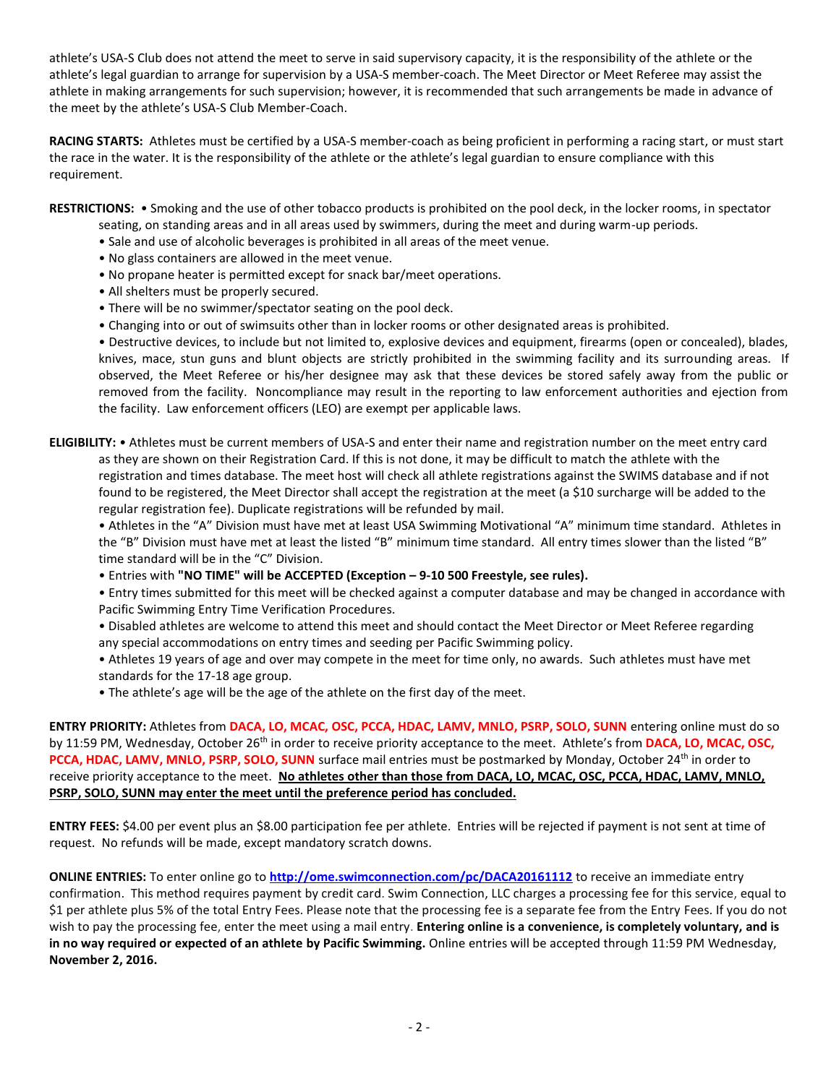athlete's USA-S Club does not attend the meet to serve in said supervisory capacity, it is the responsibility of the athlete or the athlete's legal guardian to arrange for supervision by a USA-S member-coach. The Meet Director or Meet Referee may assist the athlete in making arrangements for such supervision; however, it is recommended that such arrangements be made in advance of the meet by the athlete's USA-S Club Member-Coach.

**RACING STARTS:** Athletes must be certified by a USA-S member-coach as being proficient in performing a racing start, or must start the race in the water. It is the responsibility of the athlete or the athlete's legal guardian to ensure compliance with this requirement.

**RESTRICTIONS:** • Smoking and the use of other tobacco products is prohibited on the pool deck, in the locker rooms, in spectator

- seating, on standing areas and in all areas used by swimmers, during the meet and during warm-up periods.
- Sale and use of alcoholic beverages is prohibited in all areas of the meet venue.
- No glass containers are allowed in the meet venue.
- No propane heater is permitted except for snack bar/meet operations.
- All shelters must be properly secured.
- There will be no swimmer/spectator seating on the pool deck.
- Changing into or out of swimsuits other than in locker rooms or other designated areas is prohibited.

• Destructive devices, to include but not limited to, explosive devices and equipment, firearms (open or concealed), blades, knives, mace, stun guns and blunt objects are strictly prohibited in the swimming facility and its surrounding areas. If observed, the Meet Referee or his/her designee may ask that these devices be stored safely away from the public or removed from the facility. Noncompliance may result in the reporting to law enforcement authorities and ejection from the facility. Law enforcement officers (LEO) are exempt per applicable laws.

**ELIGIBILITY:** • Athletes must be current members of USA-S and enter their name and registration number on the meet entry card as they are shown on their Registration Card. If this is not done, it may be difficult to match the athlete with the registration and times database. The meet host will check all athlete registrations against the SWIMS database and if not found to be registered, the Meet Director shall accept the registration at the meet (a \$10 surcharge will be added to the regular registration fee). Duplicate registrations will be refunded by mail.

• Athletes in the "A" Division must have met at least USA Swimming Motivational "A" minimum time standard. Athletes in the "B" Division must have met at least the listed "B" minimum time standard. All entry times slower than the listed "B" time standard will be in the "C" Division.

• Entries with **"NO TIME" will be ACCEPTED (Exception – 9-10 500 Freestyle, see rules).**

• Entry times submitted for this meet will be checked against a computer database and may be changed in accordance with Pacific Swimming Entry Time Verification Procedures.

• Disabled athletes are welcome to attend this meet and should contact the Meet Director or Meet Referee regarding any special accommodations on entry times and seeding per Pacific Swimming policy.

• Athletes 19 years of age and over may compete in the meet for time only, no awards. Such athletes must have met standards for the 17-18 age group.

• The athlete's age will be the age of the athlete on the first day of the meet.

**ENTRY PRIORITY:** Athletes from **DACA, LO, MCAC, OSC, PCCA, HDAC, LAMV, MNLO, PSRP, SOLO, SUNN** entering online must do so by 11:59 PM, Wednesday, October 26th in order to receive priority acceptance to the meet. Athlete's from **DACA, LO, MCAC, OSC,**  PCCA, HDAC, LAMV, MNLO, PSRP, SOLO, SUNN surface mail entries must be postmarked by Monday, October 24<sup>th</sup> in order to receive priority acceptance to the meet. **No athletes other than those from DACA, LO, MCAC, OSC, PCCA, HDAC, LAMV, MNLO, PSRP, SOLO, SUNN may enter the meet until the preference period has concluded.**

**ENTRY FEES:** \$4.00 per event plus an \$8.00 participation fee per athlete. Entries will be rejected if payment is not sent at time of request. No refunds will be made, except mandatory scratch downs.

**ONLINE ENTRIES:** To enter online go to **<http://ome.swimconnection.com/pc/DACA20161112>** to receive an immediate entry confirmation. This method requires payment by credit card. Swim Connection, LLC charges a processing fee for this service, equal to \$1 per athlete plus 5% of the total Entry Fees. Please note that the processing fee is a separate fee from the Entry Fees. If you do not wish to pay the processing fee, enter the meet using a mail entry. **Entering online is a convenience, is completely voluntary, and is in no way required or expected of an athlete by Pacific Swimming.** Online entries will be accepted through 11:59 PM Wednesday, **November 2, 2016.**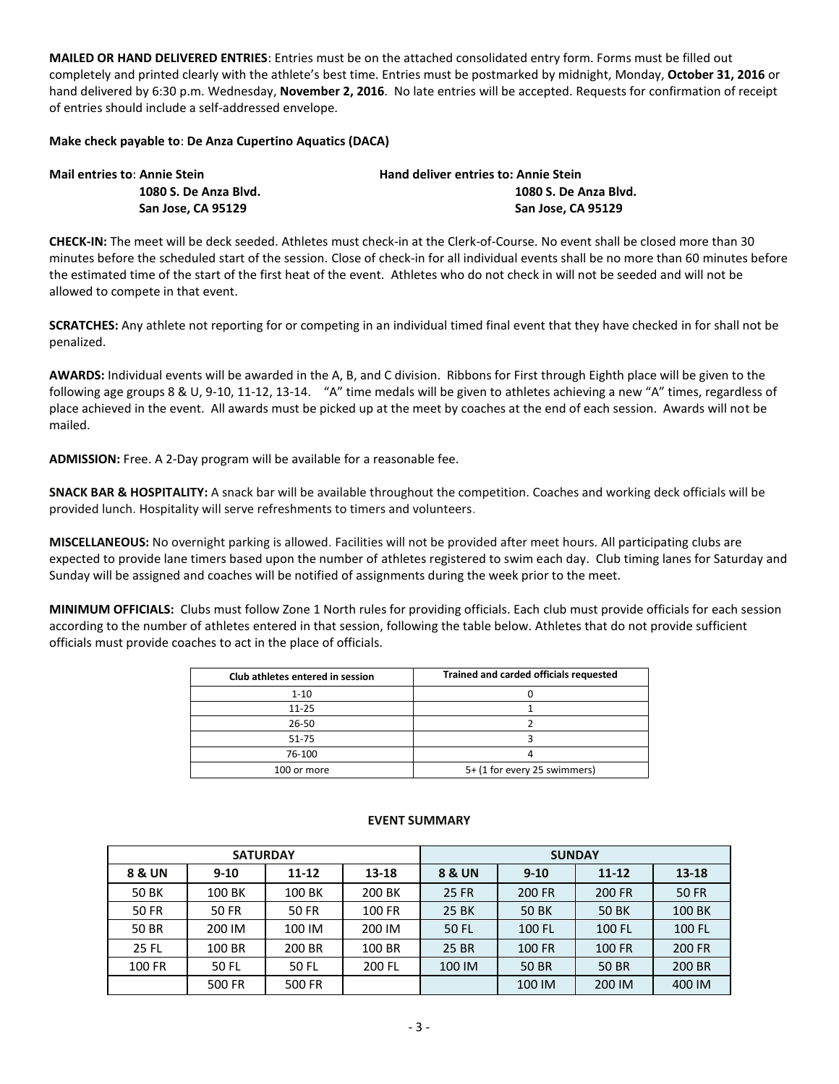**MAILED OR HAND DELIVERED ENTRIES**: Entries must be on the attached consolidated entry form. Forms must be filled out completely and printed clearly with the athlete's best time. Entries must be postmarked by midnight, Monday, **October 31, 2016** or hand delivered by 6:30 p.m. Wednesday, **November 2, 2016**. No late entries will be accepted. Requests for confirmation of receipt of entries should include a self-addressed envelope.

## **Make check payable to**: **De Anza Cupertino Aquatics (DACA)**

| <b>Mail entries to: Annie Stein</b> | <b>Hand deliver entries to: Annie Stein</b> |  |  |  |  |  |
|-------------------------------------|---------------------------------------------|--|--|--|--|--|
| 1080 S. De Anza Blyd.               | 1080 S. De Anza Blvd.                       |  |  |  |  |  |
| San Jose. CA 95129                  | San Jose, CA 95129                          |  |  |  |  |  |

**CHECK-IN:** The meet will be deck seeded. Athletes must check-in at the Clerk-of-Course. No event shall be closed more than 30 minutes before the scheduled start of the session. Close of check-in for all individual events shall be no more than 60 minutes before the estimated time of the start of the first heat of the event. Athletes who do not check in will not be seeded and will not be allowed to compete in that event.

**SCRATCHES:** Any athlete not reporting for or competing in an individual timed final event that they have checked in for shall not be penalized.

**AWARDS:** Individual events will be awarded in the A, B, and C division. Ribbons for First through Eighth place will be given to the following age groups 8 & U, 9-10, 11-12, 13-14. "A" time medals will be given to athletes achieving a new "A" times, regardless of place achieved in the event. All awards must be picked up at the meet by coaches at the end of each session. Awards will not be mailed.

**ADMISSION:** Free. A 2-Day program will be available for a reasonable fee.

**SNACK BAR & HOSPITALITY:** A snack bar will be available throughout the competition. Coaches and working deck officials will be provided lunch. Hospitality will serve refreshments to timers and volunteers.

**MISCELLANEOUS:** No overnight parking is allowed. Facilities will not be provided after meet hours. All participating clubs are expected to provide lane timers based upon the number of athletes registered to swim each day. Club timing lanes for Saturday and Sunday will be assigned and coaches will be notified of assignments during the week prior to the meet.

**MINIMUM OFFICIALS:** Clubs must follow Zone 1 North rules for providing officials. Each club must provide officials for each session according to the number of athletes entered in that session, following the table below. Athletes that do not provide sufficient officials must provide coaches to act in the place of officials.

| Club athletes entered in session | Trained and carded officials requested |
|----------------------------------|----------------------------------------|
| $1 - 10$                         |                                        |
| $11 - 25$                        |                                        |
| 26-50                            |                                        |
| 51-75                            |                                        |
| 76-100                           |                                        |
| 100 or more                      | 5+ (1 for every 25 swimmers)           |

|              | <b>SATURDAY</b> |           |        | <b>SUNDAY</b> |          |              |              |  |
|--------------|-----------------|-----------|--------|---------------|----------|--------------|--------------|--|
| 8 & UN       | $9 - 10$        | $11 - 12$ | 13-18  | 8 & UN        | $9 - 10$ | $11 - 12$    | 13-18        |  |
| <b>50 BK</b> | 100 BK          | 100 BK    | 200 BK | 25 FR         | 200 FR   | 200 FR       | <b>50 FR</b> |  |
| <b>50 FR</b> | <b>50 FR</b>    | 50 FR     | 100 FR | <b>25 BK</b>  | 50 BK    | <b>50 BK</b> | 100 BK       |  |
| 50 BR        | 200 IM          | 100 IM    | 200 IM | 50 FL         | 100 FL   | 100 FL       | 100 FL       |  |
| 25 FL        | 100 BR          | 200 BR    | 100 BR | 25 BR         | 100 FR   | 100 FR       | 200 FR       |  |
| 100 FR       | 50 FL           | 50 FL     | 200 FL | 100 IM        | 50 BR    | <b>50 BR</b> | 200 BR       |  |
|              | 500 FR          | 500 FR    |        |               | 100 IM   | 200 IM       | 400 IM       |  |

## **EVENT SUMMARY**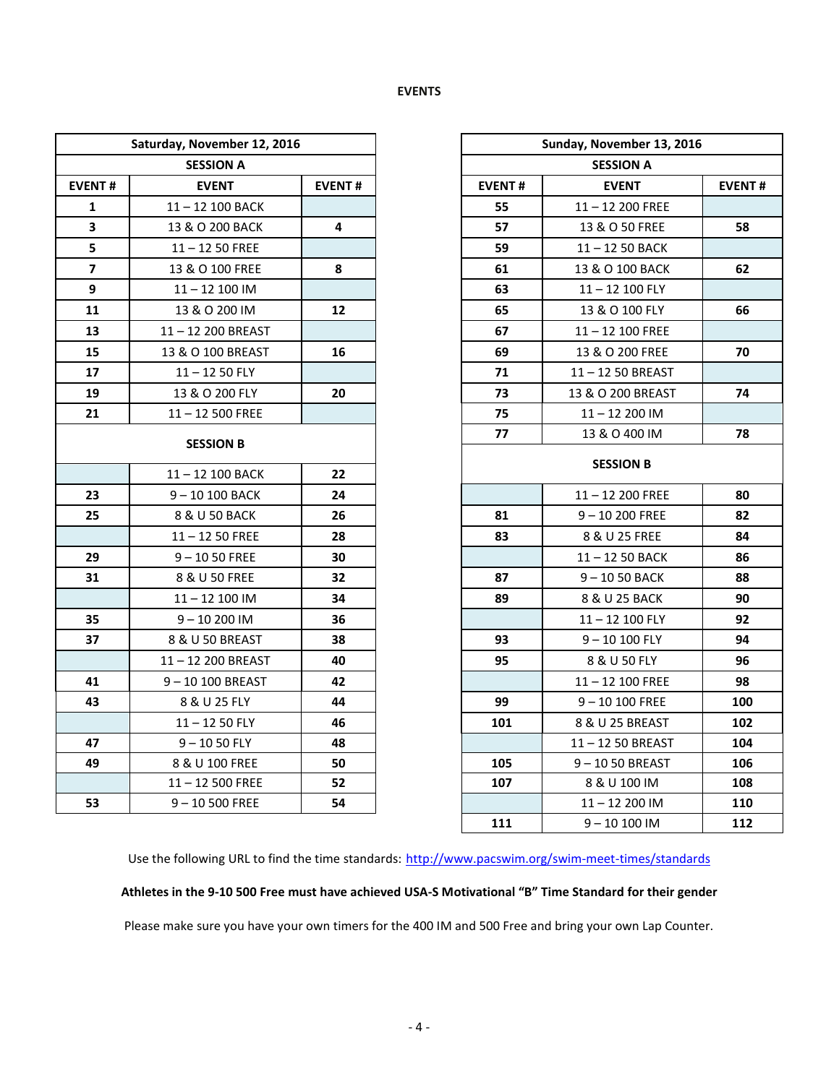## **EVENTS**

| Saturday, November 12, 2016   |                   |               | Sunday, November 13, 2016 |                    |               |  |  |  |
|-------------------------------|-------------------|---------------|---------------------------|--------------------|---------------|--|--|--|
|                               | <b>SESSION A</b>  |               |                           | <b>SESSION A</b>   |               |  |  |  |
| <b>EVENT#</b><br><b>EVENT</b> |                   | <b>EVENT#</b> | <b>EVENT#</b>             | <b>EVENT</b>       | <b>EVENT#</b> |  |  |  |
| 1                             | 11-12 100 BACK    |               | 55                        | $11 - 12$ 200 FREE |               |  |  |  |
| 3                             | 13 & O 200 BACK   | 4             | 57                        | 13 & O 50 FREE     | 58            |  |  |  |
| 5                             | $11 - 1250$ FREE  |               | 59                        | 11-12 50 BACK      |               |  |  |  |
| $\overline{\mathbf{z}}$       | 13 & O 100 FREE   | 8             | 61                        | 13 & O 100 BACK    | 62            |  |  |  |
| 9                             | $11 - 12$ 100 IM  |               | 63                        | 11-12 100 FLY      |               |  |  |  |
| 11                            | 13 & O 200 IM     | 12            | 65                        | 13 & O 100 FLY     | 66            |  |  |  |
| 13                            | 11-12 200 BREAST  |               | 67                        | 11-12 100 FREE     |               |  |  |  |
| 15                            | 13 & O 100 BREAST | 16            | 69                        | 13 & O 200 FREE    | 70            |  |  |  |
| 17                            | $11 - 1250$ FLY   |               | 71                        | 11-12 50 BREAST    |               |  |  |  |
| 19                            | 13 & O 200 FLY    | 20            | 73                        | 13 & O 200 BREAST  | 74            |  |  |  |
| 21                            | $11 - 12500$ FREE |               | 75                        | $11 - 12200$ IM    |               |  |  |  |
|                               |                   |               | 77                        | 13 & O 400 IM      | 78            |  |  |  |
|                               | <b>SESSION B</b>  |               |                           | <b>SESSION B</b>   |               |  |  |  |
|                               | 11-12 100 BACK    | 22            |                           |                    |               |  |  |  |
| 23                            | $9 - 10100$ BACK  | 24            |                           | $11 - 12$ 200 FREE | 80            |  |  |  |
| 25                            | 8 & U 50 BACK     | 26            | 81                        | $9 - 10200$ FREE   | 82            |  |  |  |
|                               | $11 - 1250$ FREE  | 28            | 83                        | 8 & U 25 FREE      | 84            |  |  |  |
| 29                            | $9 - 1050$ FREE   | 30            |                           | 11-12 50 BACK      | 86            |  |  |  |
| 31                            | 8 & U 50 FREE     | 32            | 87                        | 9-1050 BACK        | 88            |  |  |  |
|                               | $11 - 12$ 100 IM  | 34            | 89                        | 8 & U 25 BACK      | 90            |  |  |  |
| 35                            | $9 - 10200$ IM    | 36            |                           | 11-12 100 FLY      | 92            |  |  |  |
| 37                            | 8 & U 50 BREAST   | 38            | 93                        | $9 - 10100$ FLY    | 94            |  |  |  |
|                               | 11-12 200 BREAST  | 40            | 95                        | 8 & U 50 FLY       | 96            |  |  |  |
| 41                            | 9-10 100 BREAST   | 42            |                           | $11 - 12$ 100 FREE | 98            |  |  |  |
| 43                            | 8 & U 25 FLY      | 44            | 99                        | $9 - 10100$ FREE   | 100           |  |  |  |
|                               | $11 - 1250$ FLY   | 46            | 101                       | 8 & U 25 BREAST    | 102           |  |  |  |
| 47                            | $9 - 1050$ FLY    | 48            |                           | 11-12 50 BREAST    | 104           |  |  |  |
| 49                            | 8 & U 100 FREE    | 50            | 105                       | 9-1050 BREAST      | 106           |  |  |  |
|                               | $11 - 12500$ FREE | 52            | 107                       | 8 & U 100 IM       | 108           |  |  |  |
| 53                            | $9 - 10500$ FREE  | 54            |                           | $11 - 12200$ IM    | 110           |  |  |  |

| day, November 12, 2016 |               |               | Sunday, November 13, 2016 |  |  |  |
|------------------------|---------------|---------------|---------------------------|--|--|--|
| <b>SESSION A</b>       |               |               | <b>SESSION A</b>          |  |  |  |
| <b>EVENT</b>           | <b>EVENT#</b> | <b>EVENT#</b> | <b>EVENT</b>              |  |  |  |
| 11-12 100 BACK         |               | 55            | $11 - 12$ 200 FREE        |  |  |  |
| 13 & O 200 BACK        | 4             | 57            | 13 & O 50 FREE            |  |  |  |
| $11 - 1250$ FREE       |               | 59            | $11 - 1250$ BACK          |  |  |  |
| 13 & O 100 FREE        | 8             | 61            | 13 & O 100 BACK           |  |  |  |
| $11 - 12$ 100 IM       |               | 63            | 11-12 100 FLY             |  |  |  |
| 13 & O 200 IM          | 12            | 65            | 13 & O 100 FLY            |  |  |  |
| 11-12 200 BREAST       |               | 67            | $11 - 12$ 100 FREE        |  |  |  |
| 13 & O 100 BREAST      | 16            | 69            | 13 & O 200 FREE           |  |  |  |
| $11 - 1250$ FLY        |               | 71            | 11-12 50 BREAST           |  |  |  |
| 13 & O 200 FLY         | 20            | 73            | 13 & O 200 BREAST         |  |  |  |
| $11 - 12500$ FREE      |               | 75            | 11-12 200 IM              |  |  |  |
|                        |               | 77            | 13 & O 400 IM             |  |  |  |
| <b>SESSION B</b>       |               |               | <b>SESSION B</b>          |  |  |  |
| 11-12 100 BACK         | 22            |               |                           |  |  |  |
| $9 - 10100$ BACK       | 24            |               | $11 - 12$ 200 FREE        |  |  |  |
| 8 & U 50 BACK          | 26            | 81            | $9 - 10200$ FREE          |  |  |  |
| $11 - 1250$ FREE       | 28            | 83            | 8 & U 25 FREE             |  |  |  |
| $9 - 1050$ FREE        | 30            |               | 11-12 50 BACK             |  |  |  |
| 8 & U 50 FREE          | 32            | 87            | $9 - 1050$ BACK           |  |  |  |
| $11 - 12$ 100 IM       | 34            | 89            | 8 & U 25 BACK             |  |  |  |
| $9 - 10200$ IM         | 36            |               | 11-12 100 FLY             |  |  |  |
| 8 & U 50 BREAST        | 38            | 93            | $9 - 10100$ FLY           |  |  |  |
| 11 – 12 200 BREAST     | 40            | 95            | 8 & U 50 FLY              |  |  |  |
| 9-10 100 BREAST        | 42            |               | $11 - 12$ 100 FREE        |  |  |  |
| 8 & U 25 FLY           | 44            | 99            | $9 - 10100$ FREE          |  |  |  |
| $11 - 1250$ FLY        | 46            | 101           | 8 & U 25 BREAST           |  |  |  |
| $9 - 1050$ FLY         | 48            |               | 11-12 50 BREAST           |  |  |  |
| 8 & U 100 FREE         | 50            | 105           | $9 - 1050$ BREAST         |  |  |  |
| $11 - 12500$ FREE      | 52            | 107           | 8 & U 100 IM              |  |  |  |
| $9 - 10 500$ FREE      | 54            |               | 11-12 200 IM              |  |  |  |
|                        |               | 111           | $9 - 10100$ IM            |  |  |  |

Use the following URL to find the time standards: <http://www.pacswim.org/swim-meet-times/standards>

## **Athletes in the 9-10 500 Free must have achieved USA-S Motivational "B" Time Standard for their gender**

Please make sure you have your own timers for the 400 IM and 500 Free and bring your own Lap Counter.